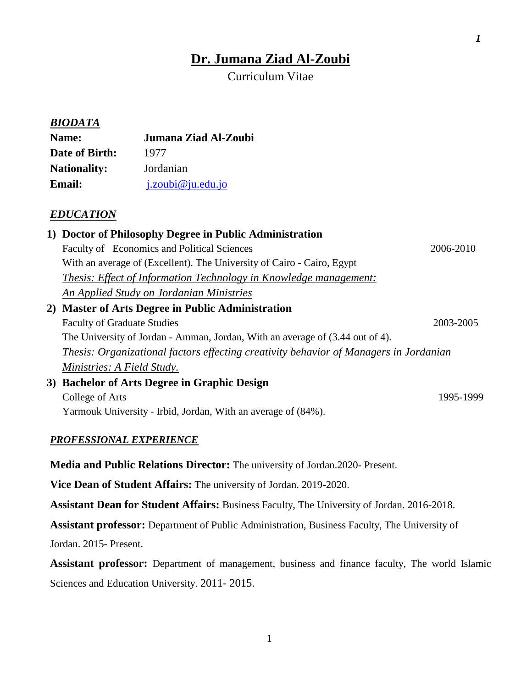# **Dr. Jumana Ziad Al-Zoubi**

*1*

Curriculum Vitae

|                                    | <b>BIODATA</b>                                                                                                                                                         |                                                                                                      |           |  |  |
|------------------------------------|------------------------------------------------------------------------------------------------------------------------------------------------------------------------|------------------------------------------------------------------------------------------------------|-----------|--|--|
| Name:                              |                                                                                                                                                                        | Jumana Ziad Al-Zoubi                                                                                 |           |  |  |
| Date of Birth:                     |                                                                                                                                                                        | 1977                                                                                                 |           |  |  |
| <b>Nationality:</b>                |                                                                                                                                                                        | Jordanian                                                                                            |           |  |  |
| <b>Email:</b>                      |                                                                                                                                                                        | j.zoubi@ju.edu.jo                                                                                    |           |  |  |
|                                    | <b>EDUCATION</b>                                                                                                                                                       |                                                                                                      |           |  |  |
|                                    |                                                                                                                                                                        | 1) Doctor of Philosophy Degree in Public Administration                                              |           |  |  |
|                                    |                                                                                                                                                                        | Faculty of Economics and Political Sciences                                                          | 2006-2010 |  |  |
|                                    |                                                                                                                                                                        | With an average of (Excellent). The University of Cairo - Cairo, Egypt                               |           |  |  |
|                                    |                                                                                                                                                                        | <b>Thesis: Effect of Information Technology in Knowledge management:</b>                             |           |  |  |
|                                    |                                                                                                                                                                        | <b>An Applied Study on Jordanian Ministries</b>                                                      |           |  |  |
|                                    |                                                                                                                                                                        | 2) Master of Arts Degree in Public Administration                                                    | 2003-2005 |  |  |
| <b>Faculty of Graduate Studies</b> |                                                                                                                                                                        |                                                                                                      |           |  |  |
|                                    | The University of Jordan - Amman, Jordan, With an average of (3.44 out of 4).<br>Thesis: Organizational factors effecting creativity behavior of Managers in Jordanian |                                                                                                      |           |  |  |
|                                    | Ministries: A Field Study.                                                                                                                                             |                                                                                                      |           |  |  |
|                                    |                                                                                                                                                                        | 3) Bachelor of Arts Degree in Graphic Design                                                         |           |  |  |
|                                    | <b>College of Arts</b>                                                                                                                                                 |                                                                                                      | 1995-1999 |  |  |
|                                    |                                                                                                                                                                        | Yarmouk University - Irbid, Jordan, With an average of (84%).                                        |           |  |  |
|                                    |                                                                                                                                                                        |                                                                                                      |           |  |  |
|                                    | <b>PROFESSIONAL EXPERIENCE</b>                                                                                                                                         |                                                                                                      |           |  |  |
|                                    |                                                                                                                                                                        | Media and Public Relations Director: The university of Jordan. 2020- Present.                        |           |  |  |
|                                    |                                                                                                                                                                        | Vice Dean of Student Affairs: The university of Jordan. 2019-2020.                                   |           |  |  |
|                                    |                                                                                                                                                                        | Assistant Dean for Student Affairs: Business Faculty, The University of Jordan. 2016-2018.           |           |  |  |
|                                    |                                                                                                                                                                        | <b>Assistant professor:</b> Department of Public Administration, Business Faculty, The University of |           |  |  |
|                                    | Jordan. 2015- Present.                                                                                                                                                 |                                                                                                      |           |  |  |
|                                    |                                                                                                                                                                        |                                                                                                      |           |  |  |

**Assistant professor:** Department of management, business and finance faculty, The world Islamic Sciences and Education University. 2011- 2015.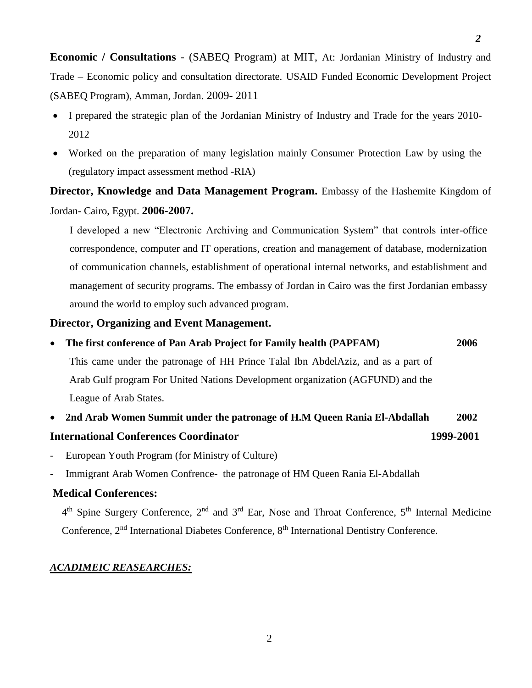**Economic / Consultations** - (SABEQ Program) at MIT, At: Jordanian Ministry of Industry and Trade – Economic policy and consultation directorate. USAID Funded Economic Development Project (SABEQ Program), Amman, Jordan. 2009- 2011

- I prepared the strategic plan of the Jordanian Ministry of Industry and Trade for the years 2010- 2012
- Worked on the preparation of many legislation mainly Consumer Protection Law by using the (regulatory impact assessment method -RIA)

**Director, Knowledge and Data Management Program.** Embassy of the Hashemite Kingdom of Jordan- Cairo, Egypt. **2006-2007.**

I developed a new "Electronic Archiving and Communication System" that controls inter-office correspondence, computer and IT operations, creation and management of database, modernization of communication channels, establishment of operational internal networks, and establishment and management of security programs. The embassy of Jordan in Cairo was the first Jordanian embassy around the world to employ such advanced program.

# **Director, Organizing and Event Management.**

- **The first conference of Pan Arab Project for Family health (PAPFAM) 2006**  This came under the patronage of HH Prince Talal Ibn AbdelAziz, and as a part of Arab Gulf program For United Nations Development organization (AGFUND) and the League of Arab States.
- **2nd Arab Women Summit under the patronage of H.M Queen Rania El-Abdallah 2002 International Conferences Coordinator 1999-2001**
- European Youth Program (for Ministry of Culture)
- Immigrant Arab Women Confrence- the patronage of HM Queen Rania El-Abdallah

# **Medical Conferences:**

4<sup>th</sup> Spine Surgery Conference, 2<sup>nd</sup> and 3<sup>rd</sup> Ear, Nose and Throat Conference, 5<sup>th</sup> Internal Medicine Conference, 2<sup>nd</sup> International Diabetes Conference, 8<sup>th</sup> International Dentistry Conference.

#### *ACADIMEIC REASEARCHES:*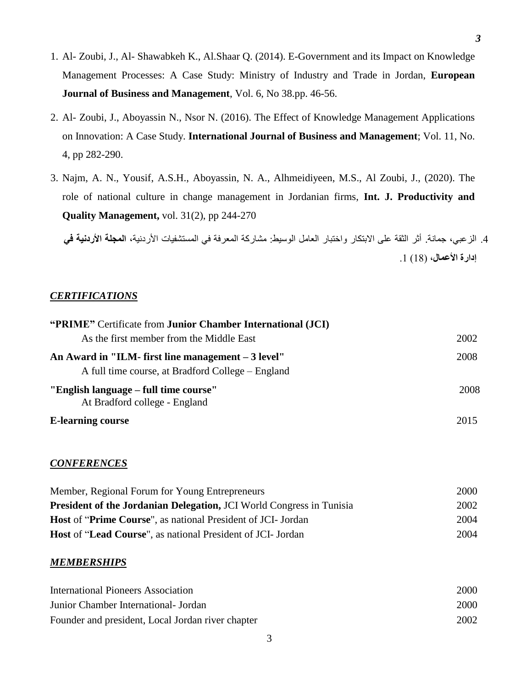- 1. Al- Zoubi, J., Al- Shawabkeh K., Al.Shaar Q. (2014). E-Government and its Impact on Knowledge Management Processes: A Case Study: Ministry of Industry and Trade in Jordan, **European Journal of Business and Management**, Vol. 6, No 38.pp. 46-56.
- 2. Al- Zoubi, J., Aboyassin N., Nsor N. (2016). The Effect of Knowledge Management Applications on Innovation: A Case Study. **International Journal of Business and Management**; Vol. 11, No. 4, pp 282-290.
- 3. Najm, A. N., Yousif, A.S.H., Aboyassin, N. A., Alhmeidiyeen, M.S., Al Zoubi, J., (2020). The role of national culture in change management in Jordanian firms, **Int. J. Productivity and Quality Management,** vol. 31(2), pp 244-270

.4 الزعبي، جمانة. أثر الثقة على االبتكار واختبار العامل الوسيط: مشاركة المعرفة في المستشفيات األردنية، **المجلة األردنية في**  إ**دارة الأعمال، (18) 1**.

## *CERTIFICATIONS*

| "PRIME" Certificate from Junior Chamber International (JCI)                                              |      |
|----------------------------------------------------------------------------------------------------------|------|
| As the first member from the Middle East                                                                 | 2002 |
| An Award in "ILM- first line management $-3$ level"<br>A full time course, at Bradford College – England |      |
| "English language – full time course"<br>At Bradford college - England                                   | 2008 |
| <b>E-learning course</b>                                                                                 | 2015 |

## *CONFERENCES*

| Member, Regional Forum for Young Entrepreneurs                       | 2000 |
|----------------------------------------------------------------------|------|
| President of the Jordanian Delegation, JCI World Congress in Tunisia | 2002 |
| <b>Host of "Prime Course", as national President of JCI- Jordan</b>  | 2004 |
| <b>Host of "Lead Course", as national President of JCI- Jordan</b>   | 2004 |

#### *MEMBERSHIPS*

| <b>International Pioneers Association</b>         | 2000 |
|---------------------------------------------------|------|
| Junior Chamber International - Jordan             | 2000 |
| Founder and president, Local Jordan river chapter | 2002 |